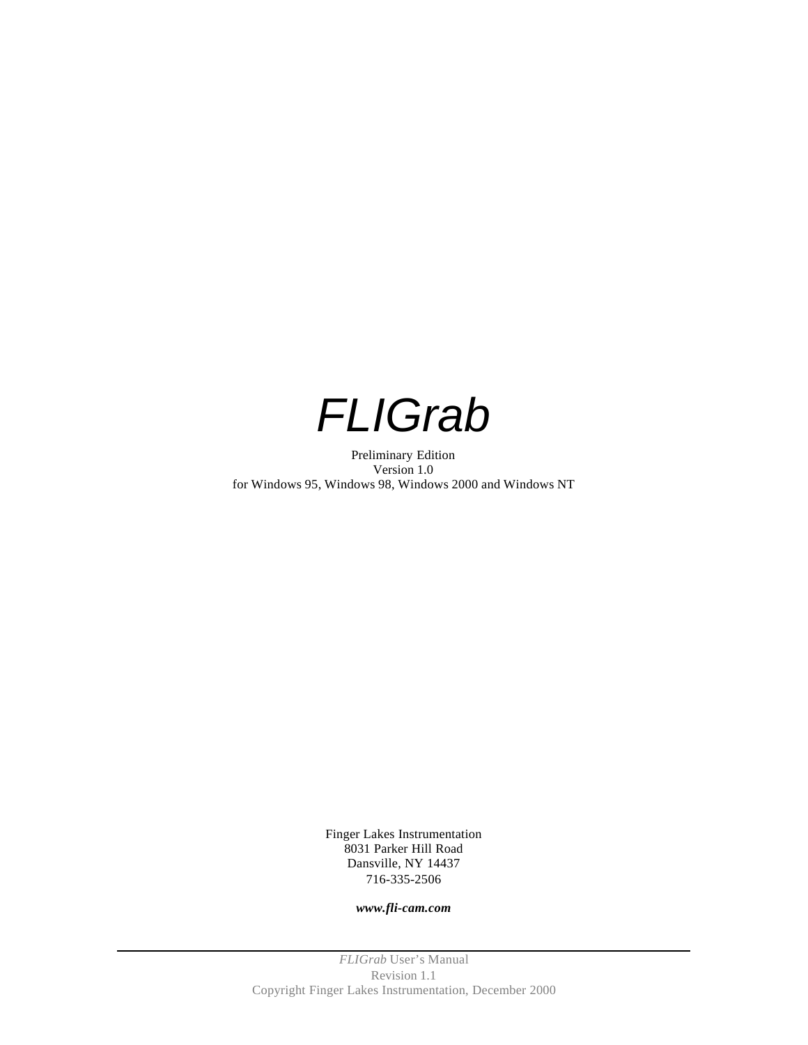

Preliminary Edition Version 1.0 for Windows 95, Windows 98, Windows 2000 and Windows NT

> Finger Lakes Instrumentation 8031 Parker Hill Road Dansville, NY 14437 716-335-2506

> > *www.fli-cam.com*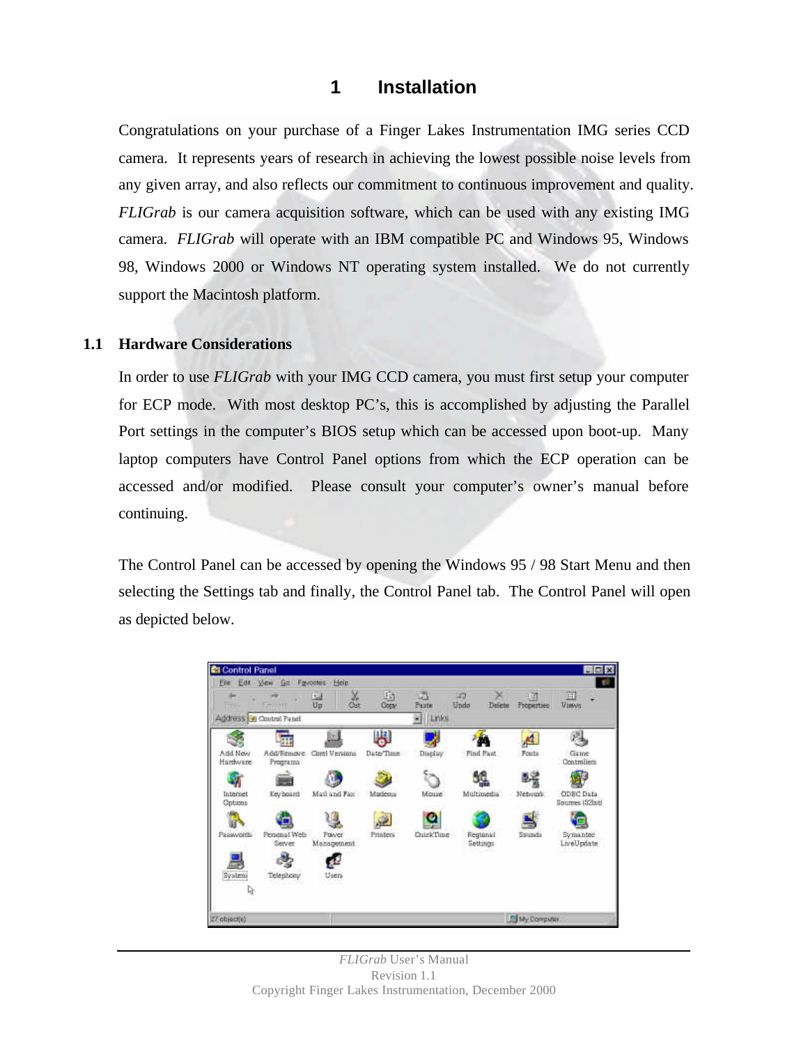# **1 Installation**

Congratulations on your purchase of a Finger Lakes Instrumentation IMG series CCD camera. It represents years of research in achieving the lowest possible noise levels from any given array, and also reflects our commitment to continuous improvement and quality. *FLIGrab* is our camera acquisition software, which can be used with any existing IMG camera. *FLIGrab* will operate with an IBM compatible PC and Windows 95, Windows 98, Windows 2000 or Windows NT operating system installed. We do not currently support the Macintosh platform.

#### **1.1 Hardware Considerations**

In order to use *FLIGrab* with your IMG CCD camera, you must first setup your computer for ECP mode. With most desktop PC's, this is accomplished by adjusting the Parallel Port settings in the computer's BIOS setup which can be accessed upon boot-up. Many laptop computers have Control Panel options from which the ECP operation can be accessed and/or modified. Please consult your computer's owner's manual before continuing.

The Control Panel can be accessed by opening the Windows 95 / 98 Start Menu and then selecting the Settings tab and finally, the Control Panel tab. The Control Panel will open as depicted below.



*FLIGrab* User's Manual Revision 1.1 Copyright Finger Lakes Instrumentation, December 2000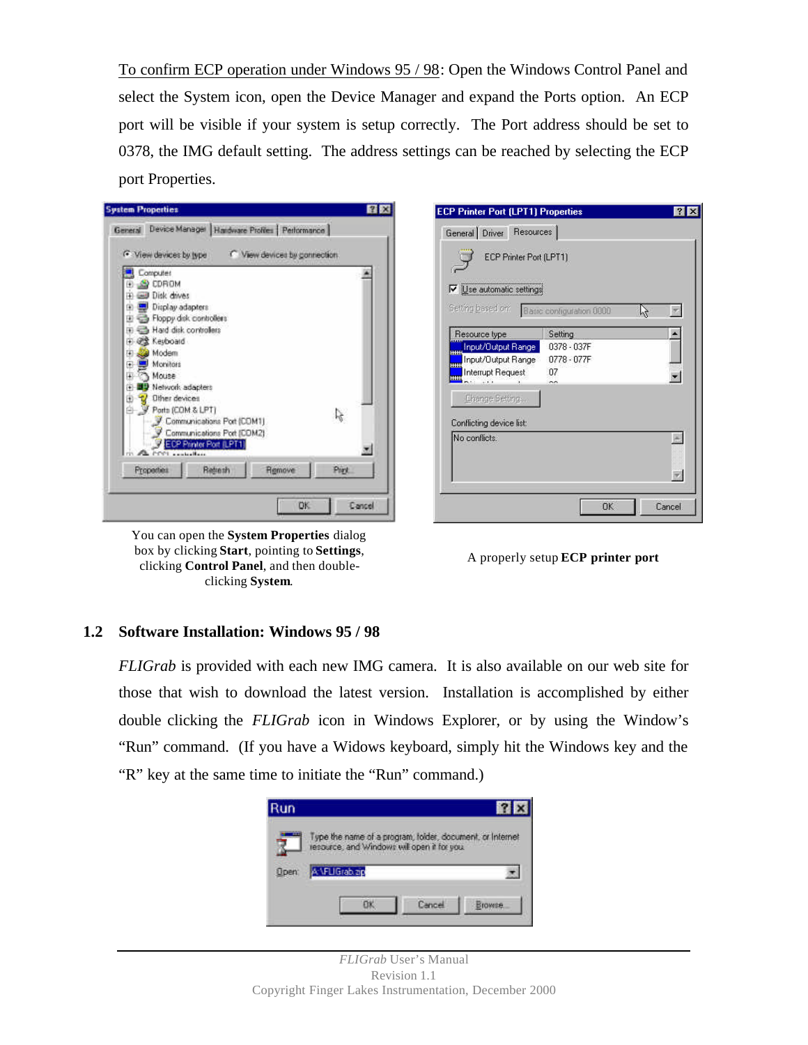To confirm ECP operation under Windows 95 / 98: Open the Windows Control Panel and select the System icon, open the Device Manager and expand the Ports option. An ECP port will be visible if your system is setup correctly. The Port address should be set to 0378, the IMG default setting. The address settings can be reached by selecting the ECP port Properties.

| <b>C</b> View devices by type                                                                                                                                                                                                                               |                                                                                                                | View devices by connection |      |  |
|-------------------------------------------------------------------------------------------------------------------------------------------------------------------------------------------------------------------------------------------------------------|----------------------------------------------------------------------------------------------------------------|----------------------------|------|--|
| Computer<br><b>EDROM</b><br><b>GB Disk drives</b><br>Display adapters<br>œ<br>困<br>Hard disk controllers<br>@ Keuboard<br>田<br>Modem<br>Œ<br>Monitors<br>⊕<br>Mouse<br>Network adapters<br>Other devices<br>Œ<br>Porto (COM & LPT)<br>œ.<br>CCL controllers | Floppy disk controllers<br>Communications Port (COM1)<br>Communications Port (COM2)<br>ECP Printer Port (LPT1) |                            |      |  |
| Properties                                                                                                                                                                                                                                                  | Retresh                                                                                                        | Remove                     | Port |  |

You can open the **System Properties** dialog box by clicking **Start**, pointing to **Settings**, clicking **Control Panel**, and then doubleclicking **System**.

| <b>ECP Printer Port (LPT1) Properties</b><br>General Driver Resources                                   |                                       |        |
|---------------------------------------------------------------------------------------------------------|---------------------------------------|--------|
| ECP Printer Port (LPT1)<br>V Use automatic settings                                                     |                                       |        |
| Setting based on: Basic configuration 0000<br>Resource type<br>Input/Output Range<br>Input/Output Range | Setting<br>0378 - 037F<br>0778 - 077F |        |
| Interrupt Request<br>$\sim$ $\sim$<br>Change Setting                                                    | 07<br>o.                              |        |
| Conflicting device list:<br>No conflicts.                                                               |                                       |        |
|                                                                                                         |                                       |        |
|                                                                                                         | <b>OK</b>                             | Cancel |

A properly setup **ECP printer port**

#### **1.2 Software Installation: Windows 95 / 98**

*FLIGrab* is provided with each new IMG camera. It is also available on our web site for those that wish to download the latest version. Installation is accomplished by either double clicking the *FLIGrab* icon in Windows Explorer, or by using the Window's "Run" command. (If you have a Widows keyboard, simply hit the Windows key and the "R" key at the same time to initiate the "Run" command.)

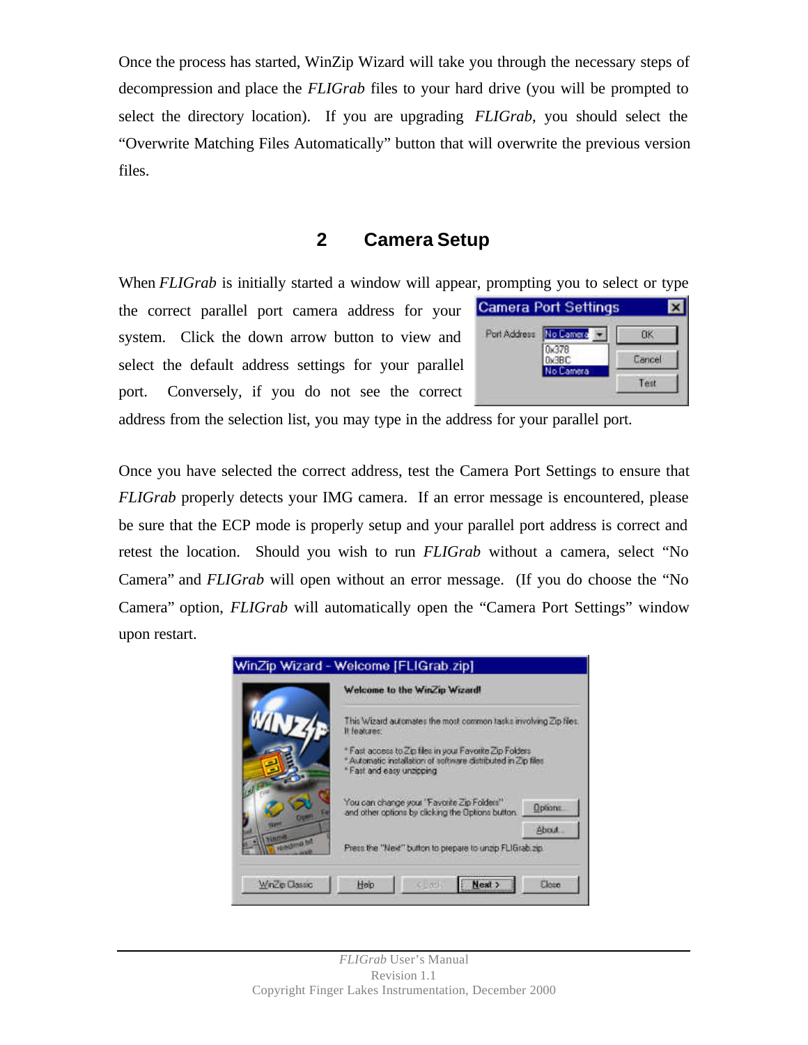Once the process has started, WinZip Wizard will take you through the necessary steps of decompression and place the *FLIGrab* files to your hard drive (you will be prompted to select the directory location). If you are upgrading *FLIGrab*, you should select the "Overwrite Matching Files Automatically" button that will overwrite the previous version files.

# **2 Camera Setup**

When *FLIGrab* is initially started a window will appear, prompting you to select or type

the correct parallel port camera address for your system. Click the down arrow button to view and select the default address settings for your parallel port. Conversely, if you do not see the correct

|              | <b>Camera Port Settings</b> |  |
|--------------|-----------------------------|--|
| Port Address | No Camera                   |  |
|              | 0x378<br>Dx3BC              |  |
|              | No Camera                   |  |

address from the selection list, you may type in the address for your parallel port.

Once you have selected the correct address, test the Camera Port Settings to ensure that *FLIGrab* properly detects your IMG camera. If an error message is encountered, please be sure that the ECP mode is properly setup and your parallel port address is correct and retest the location. Should you wish to run *FLIGrab* without a camera, select "No Camera" and *FLIGrab* will open without an error message. (If you do choose the "No Camera" option, *FLIGrab* will automatically open the "Camera Port Settings" window upon restart.

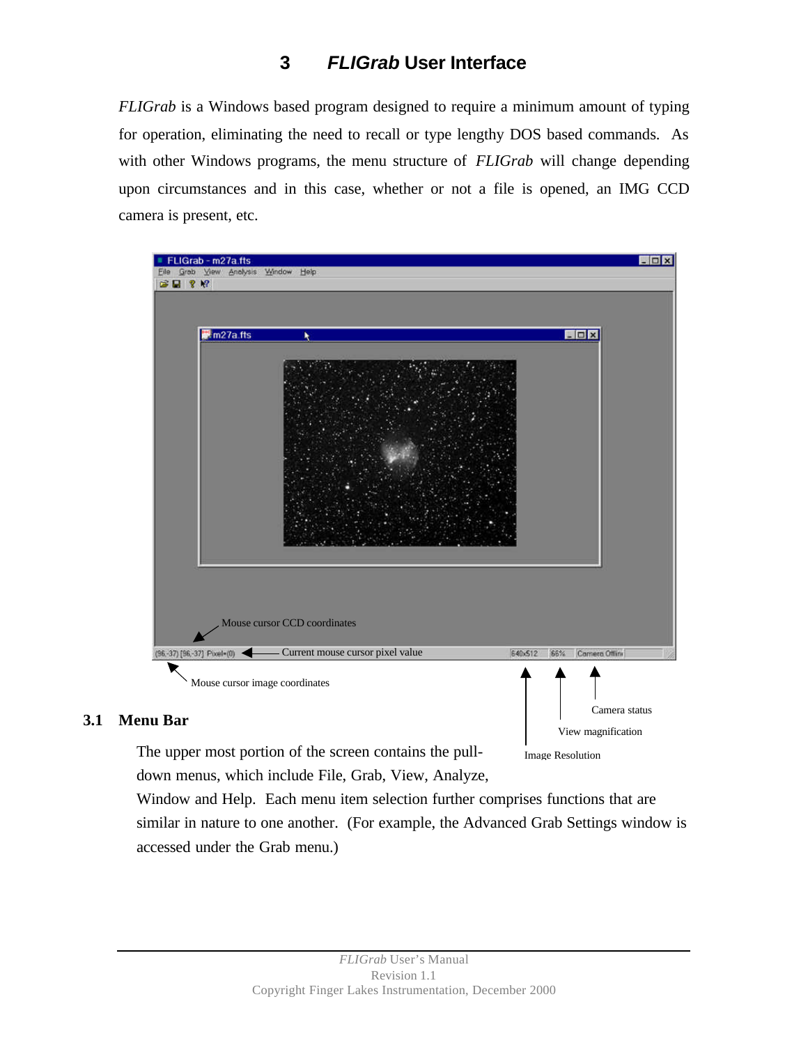# **3** *FLIGrab* **User Interface**

*FLIGrab* is a Windows based program designed to require a minimum amount of typing for operation, eliminating the need to recall or type lengthy DOS based commands. As with other Windows programs, the menu structure of *FLIGrab* will change depending upon circumstances and in this case, whether or not a file is opened, an IMG CCD camera is present, etc.



## **3.1 Menu Bar**

The upper most portion of the screen contains the pulldown menus, which include File, Grab, View, Analyze,

Window and Help. Each menu item selection further comprises functions that are similar in nature to one another. (For example, the Advanced Grab Settings window is accessed under the Grab menu.)

View magnification

Image Resolution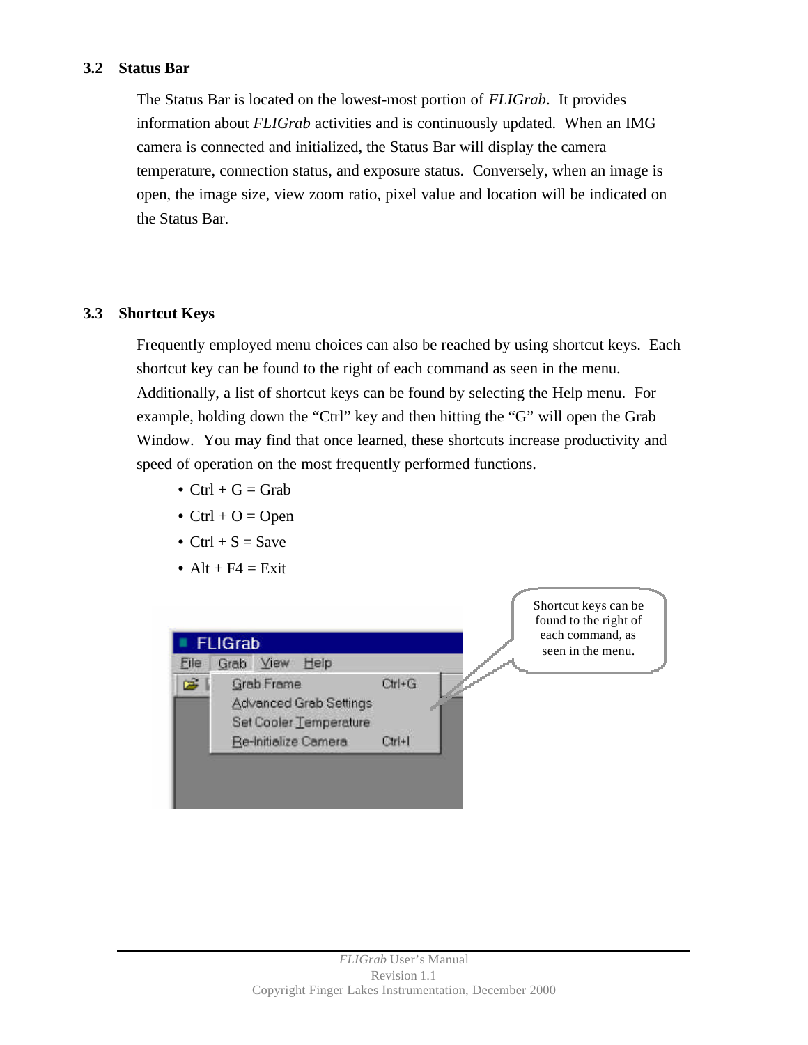### **3.2 Status Bar**

The Status Bar is located on the lowest-most portion of *FLIGrab*. It provides information about *FLIGrab* activities and is continuously updated. When an IMG camera is connected and initialized, the Status Bar will display the camera temperature, connection status, and exposure status. Conversely, when an image is open, the image size, view zoom ratio, pixel value and location will be indicated on the Status Bar.

### **3.3 Shortcut Keys**

Frequently employed menu choices can also be reached by using shortcut keys. Each shortcut key can be found to the right of each command as seen in the menu. Additionally, a list of shortcut keys can be found by selecting the Help menu. For example, holding down the "Ctrl" key and then hitting the "G" will open the Grab Window. You may find that once learned, these shortcuts increase productivity and speed of operation on the most frequently performed functions.

- $Ctrl + G = Grab$
- $Ctrl + O = Open$
- Ctrl +  $S =$  Save
- Alt +  $F4 = F$ xit

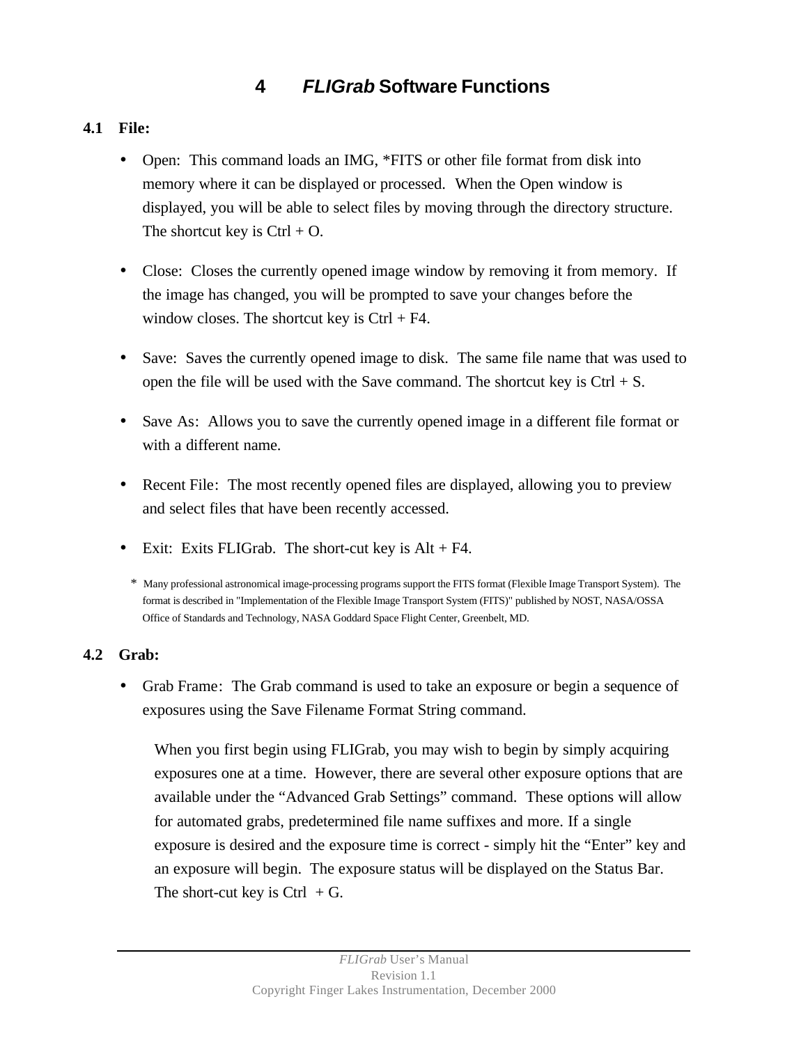# **4** *FLIGrab* **Software Functions**

## **4.1 File:**

- Open: This command loads an IMG, \*FITS or other file format from disk into memory where it can be displayed or processed. When the Open window is displayed, you will be able to select files by moving through the directory structure. The shortcut key is  $Ctrl + O$ .
- Close: Closes the currently opened image window by removing it from memory. If the image has changed, you will be prompted to save your changes before the window closes. The shortcut key is  $Ctrl + F4$ .
- Save: Saves the currently opened image to disk. The same file name that was used to open the file will be used with the Save command. The shortcut key is  $Ctrl + S$ .
- Save As: Allows you to save the currently opened image in a different file format or with a different name.
- Recent File: The most recently opened files are displayed, allowing you to preview and select files that have been recently accessed.
- Exit: Exits FLIGrab. The short-cut key is  $Alt + F4$ .

### **4.2 Grab:**

• Grab Frame: The Grab command is used to take an exposure or begin a sequence of exposures using the Save Filename Format String command.

When you first begin using FLIGrab, you may wish to begin by simply acquiring exposures one at a time. However, there are several other exposure options that are available under the "Advanced Grab Settings" command. These options will allow for automated grabs, predetermined file name suffixes and more. If a single exposure is desired and the exposure time is correct - simply hit the "Enter" key and an exposure will begin. The exposure status will be displayed on the Status Bar. The short-cut key is Ctrl  $+ G$ .

<sup>\*</sup> Many professional astronomical image-processing programs support the FITS format (Flexible Image Transport System). The format is described in "Implementation of the Flexible Image Transport System (FITS)" published by NOST, NASA/OSSA Office of Standards and Technology, NASA Goddard Space Flight Center, Greenbelt, MD.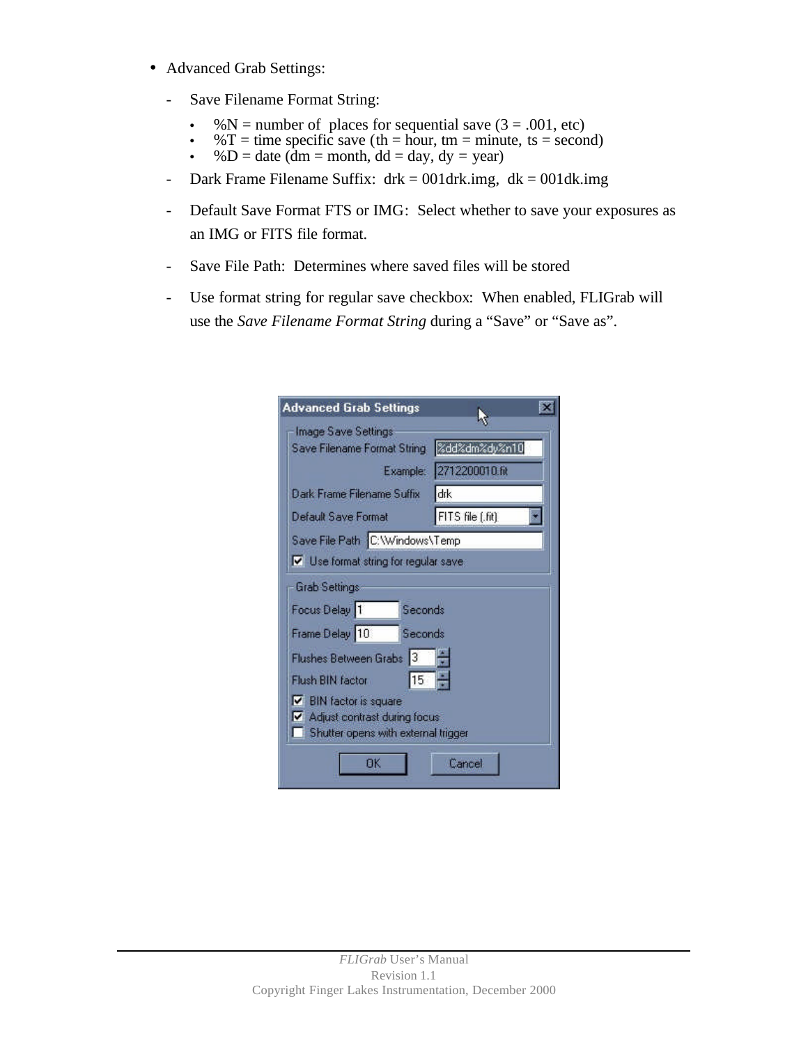- Advanced Grab Settings:
	- Save Filename Format String:
		- %N = number of places for sequential save  $(3 = .001, etc)$
		- %T = time specific save (th = hour, tm = minute, ts = second)
		- $%D =$  date (dm = month, dd = day, dy = year)
	- Dark Frame Filename Suffix:  $drk = 001$ drk.img,  $dk = 001$ dk.img
	- Default Save Format FTS or IMG: Select whether to save your exposures as an IMG or FITS file format.
	- Save File Path: Determines where saved files will be stored
	- Use format string for regular save checkbox: When enabled, FLIGrab will use the *Save Filename Format String* during a "Save" or "Save as".

| Advanced Grab Settings              |                         |  |  |  |  |
|-------------------------------------|-------------------------|--|--|--|--|
| Image Save Settings                 |                         |  |  |  |  |
| Save Filename Format String         | %dd%dm%dy%n10           |  |  |  |  |
|                                     | Example: 2712200010.fit |  |  |  |  |
| Dark Frame Filename Suffix          | drk                     |  |  |  |  |
| Default Save Format                 | FITS file [.fit]        |  |  |  |  |
| Save File Path C:\\Windows\Temp     |                         |  |  |  |  |
| Use format string for regular save  |                         |  |  |  |  |
| <b>Grab Settings</b>                |                         |  |  |  |  |
| Focus Delay <sup>1</sup><br>Seconds |                         |  |  |  |  |
| Frame Delay 10<br>Seconds           |                         |  |  |  |  |
| Flushes Between Grabs 3             |                         |  |  |  |  |
| 15<br>Flush BIN factor              |                         |  |  |  |  |
| <b>V</b> BIN factor is square       |                         |  |  |  |  |
| Adjust contrast during focus        |                         |  |  |  |  |
| Shutter opens with external trigger |                         |  |  |  |  |
| ОK                                  | Cancel                  |  |  |  |  |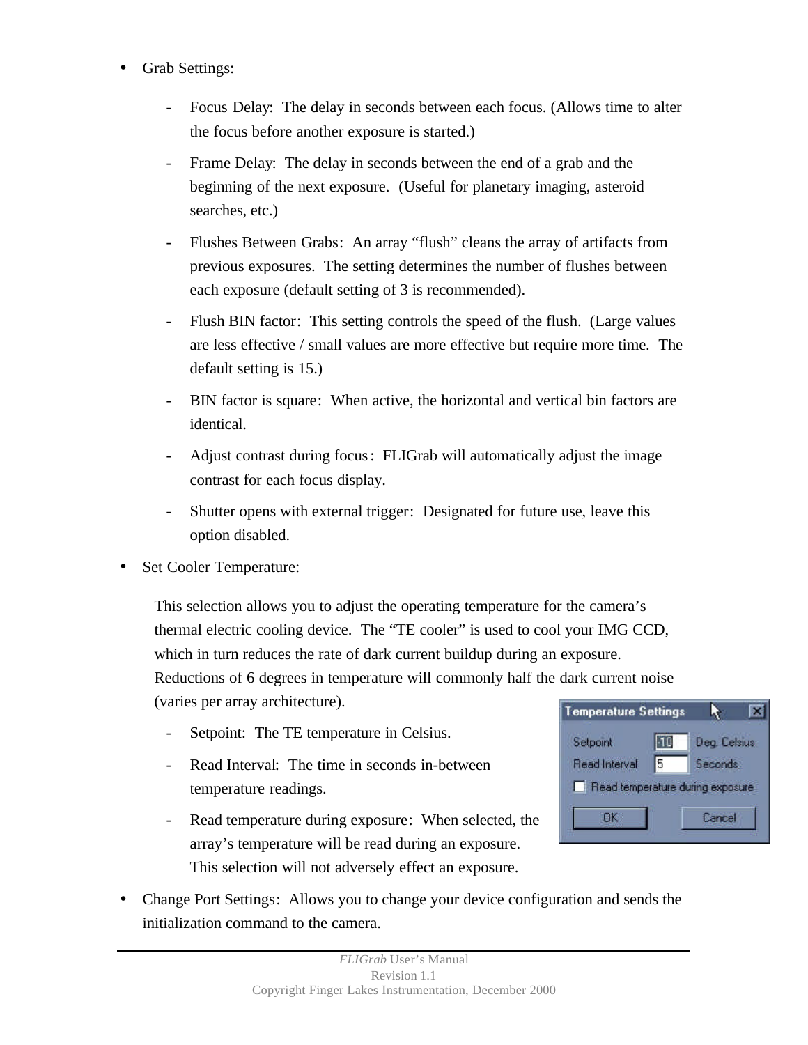- Grab Settings:
	- Focus Delay: The delay in seconds between each focus. (Allows time to alter the focus before another exposure is started.)
	- Frame Delay: The delay in seconds between the end of a grab and the beginning of the next exposure. (Useful for planetary imaging, asteroid searches, etc.)
	- Flushes Between Grabs: An array "flush" cleans the array of artifacts from previous exposures. The setting determines the number of flushes between each exposure (default setting of 3 is recommended).
	- Flush BIN factor: This setting controls the speed of the flush. (Large values are less effective / small values are more effective but require more time. The default setting is 15.)
	- BIN factor is square: When active, the horizontal and vertical bin factors are identical.
	- Adjust contrast during focus: FLIGrab will automatically adjust the image contrast for each focus display.
	- Shutter opens with external trigger: Designated for future use, leave this option disabled.
- Set Cooler Temperature:

This selection allows you to adjust the operating temperature for the camera's thermal electric cooling device. The "TE cooler" is used to cool your IMG CCD, which in turn reduces the rate of dark current buildup during an exposure. Reductions of 6 degrees in temperature will commonly half the dark current noise (varies per array architecture).

- Setpoint: The TE temperature in Celsius.
- Read Interval: The time in seconds in-between temperature readings.
- Read temperature during exposure: When selected, the array's temperature will be read during an exposure. This selection will not adversely effect an exposure.



• Change Port Settings: Allows you to change your device configuration and sends the initialization command to the camera.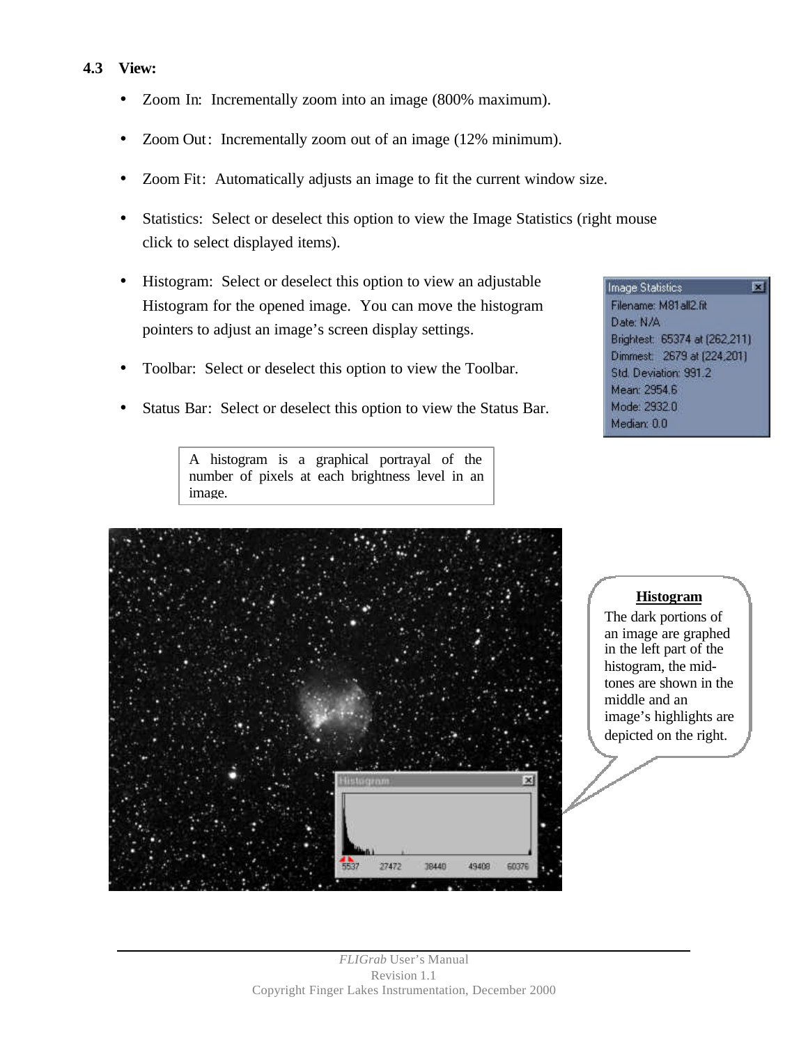### **4.3 View:**

- Zoom In: Incrementally zoom into an image (800% maximum).
- Zoom Out: Incrementally zoom out of an image (12% minimum).
- Zoom Fit: Automatically adjusts an image to fit the current window size.
- Statistics: Select or deselect this option to view the Image Statistics (right mouse click to select displayed items).
- Histogram: Select or deselect this option to view an adjustable Histogram for the opened image. You can move the histogram pointers to adjust an image's screen display settings.
- Toolbar: Select or deselect this option to view the Toolbar.
- Status Bar: Select or deselect this option to view the Status Bar.

A histogram is a graphical portrayal of the number of pixels at each brightness level in an

image.

 $\mathbf{x}$ 5537 27472 38440 49408 60376

**Image Statistics** 岗 Filename: M81all2.fit Date: N/A Brightest: 65374 at (262,211) Dimmest 2679 at (224,201) Std. Deviation: 991.2 Mean: 2954.6 Mode: 2932.0 Median: 0.0

**Histogram**

The dark portions of an image are graphed in the left part of the histogram, the midtones are shown in the middle and an image's highlights are depicted on the right.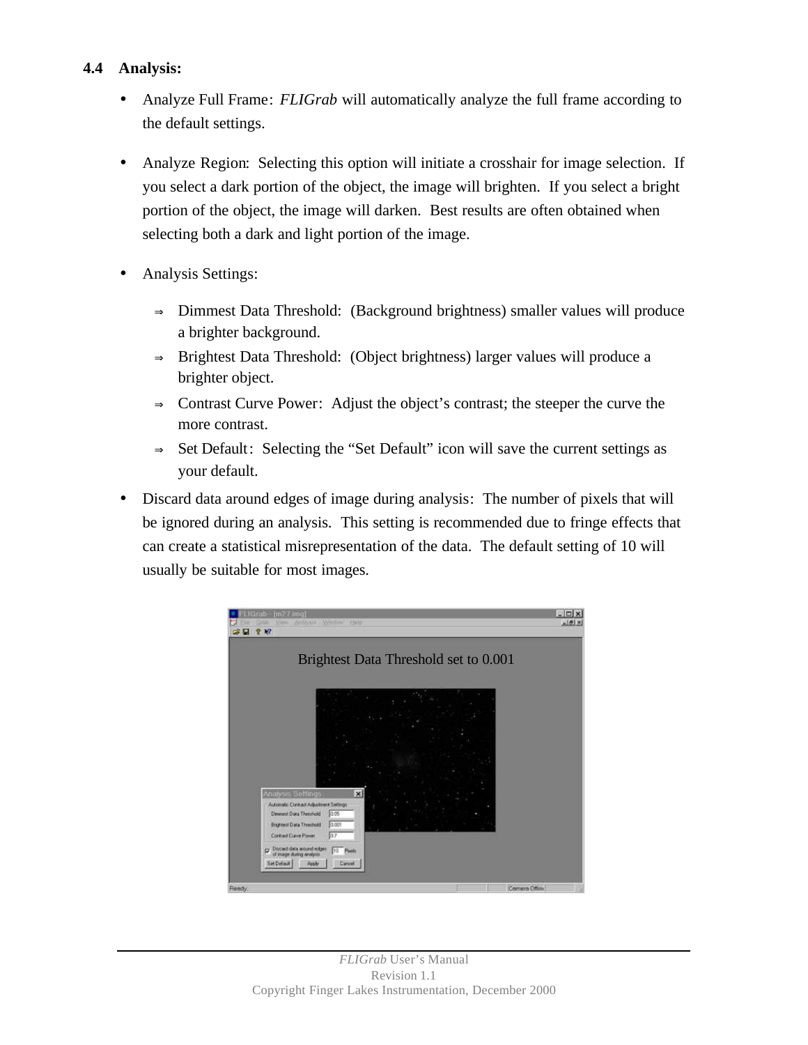## **4.4 Analysis:**

- Analyze Full Frame: *FLIGrab* will automatically analyze the full frame according to the default settings.
- Analyze Region: Selecting this option will initiate a crosshair for image selection. If you select a dark portion of the object, the image will brighten. If you select a bright portion of the object, the image will darken. Best results are often obtained when selecting both a dark and light portion of the image.
- Analysis Settings:
	- <sup>⇒</sup> Dimmest Data Threshold: (Background brightness) smaller values will produce a brighter background.
	- <sup>⇒</sup> Brightest Data Threshold: (Object brightness) larger values will produce a brighter object.
	- <sup>⇒</sup> Contrast Curve Power: Adjust the object's contrast; the steeper the curve the more contrast.
	- <sup>⇒</sup> Set Default: Selecting the "Set Default" icon will save the current settings as your default.
- Discard data around edges of image during analysis: The number of pixels that will be ignored during an analysis. This setting is recommended due to fringe effects that can create a statistical misrepresentation of the data. The default setting of 10 will usually be suitable for most images.

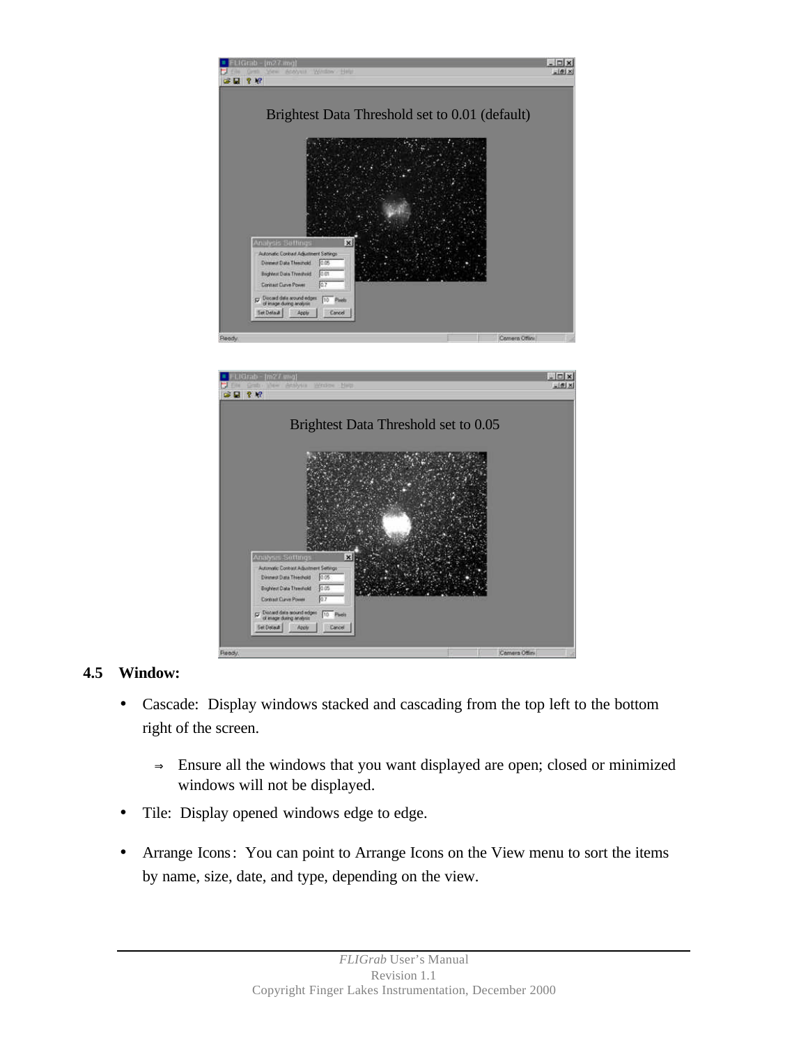



## **4.5 Window:**

- Cascade: Display windows stacked and cascading from the top left to the bottom right of the screen.
	- <sup>⇒</sup> Ensure all the windows that you want displayed are open; closed or minimized windows will not be displayed.
- Tile: Display opened windows edge to edge.
- Arrange Icons: You can point to Arrange Icons on the View menu to sort the items by name, size, date, and type, depending on the view.